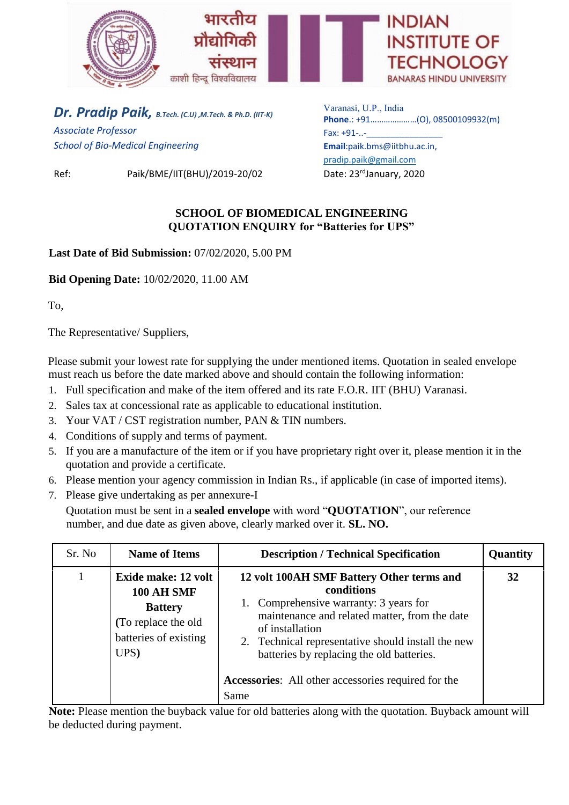

*Dr. Pradip Paik, B.Tech. (C.U) ,M.Tech. & Ph.D. (IIT-K) Associate Professor School of Bio-Medical Engineering*

Ref: Paik/BME/IIT(BHU)/2019-20/02 Date: 23rdJanuary, 2020

Varanasi, U.P., India **Phone**.: +91…………………(O), 08500109932(m) Fax: +91-..-**Email**:paik.bms@iitbhu.ac.in, [pradip.paik@gmail.com](mailto:pradip.paik@gmail.com)

## **SCHOOL OF BIOMEDICAL ENGINEERING QUOTATION ENQUIRY for "Batteries for UPS"**

**Last Date of Bid Submission:** 07/02/2020, 5.00 PM

**Bid Opening Date:** 10/02/2020, 11.00 AM

To,

The Representative/ Suppliers,

Please submit your lowest rate for supplying the under mentioned items. Quotation in sealed envelope must reach us before the date marked above and should contain the following information:

- 1. Full specification and make of the item offered and its rate F.O.R. IIT (BHU) Varanasi.
- 2. Sales tax at concessional rate as applicable to educational institution.
- 3. Your VAT / CST registration number, PAN & TIN numbers.
- 4. Conditions of supply and terms of payment.
- 5. If you are a manufacture of the item or if you have proprietary right over it, please mention it in the quotation and provide a certificate.
- 6. Please mention your agency commission in Indian Rs., if applicable (in case of imported items).
- 7. Please give undertaking as per annexure-I

Quotation must be sent in a **sealed envelope** with word "**QUOTATION**", our reference number, and due date as given above, clearly marked over it. **SL. NO.**

| Sr. No | <b>Name of Items</b>                                                                                               | <b>Description / Technical Specification</b>                                                                                                                                                                                                                                                                                            | Quantity |
|--------|--------------------------------------------------------------------------------------------------------------------|-----------------------------------------------------------------------------------------------------------------------------------------------------------------------------------------------------------------------------------------------------------------------------------------------------------------------------------------|----------|
|        | Exide make: 12 volt<br><b>100 AH SMF</b><br><b>Battery</b><br>(To replace the old<br>batteries of existing<br>UPS) | 12 volt 100AH SMF Battery Other terms and<br>conditions<br>1. Comprehensive warranty: 3 years for<br>maintenance and related matter, from the date<br>of installation<br>2. Technical representative should install the new<br>batteries by replacing the old batteries.<br>Accessories: All other accessories required for the<br>Same | 32       |

**Note:** Please mention the buyback value for old batteries along with the quotation. Buyback amount will be deducted during payment.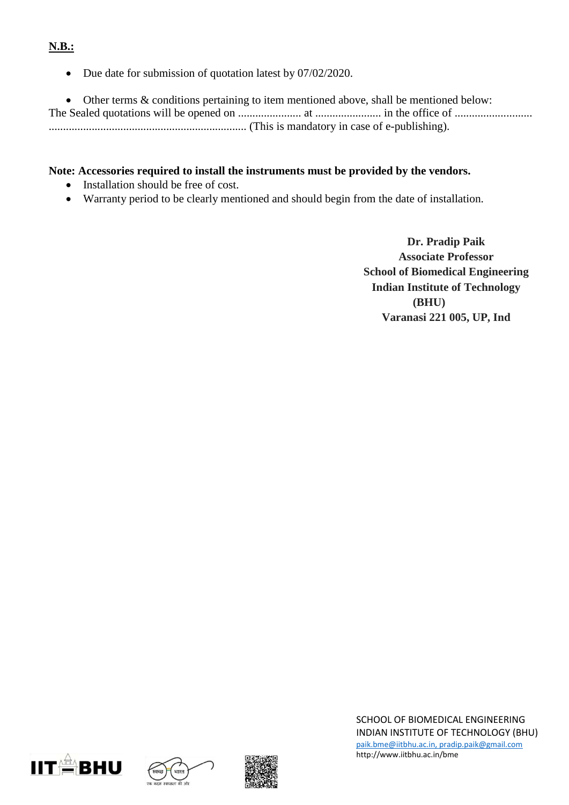# **N.B.:**

• Due date for submission of quotation latest by 07/02/2020.

 Other terms & conditions pertaining to item mentioned above, shall be mentioned below: The Sealed quotations will be opened on ...................... at ....................... in the office of ........................... ..................................................................... (This is mandatory in case of e-publishing).

## **Note: Accessories required to install the instruments must be provided by the vendors.**

- Installation should be free of cost.
- Warranty period to be clearly mentioned and should begin from the date of installation.

**Dr. Pradip Paik Associate Professor School of Biomedical Engineering Indian Institute of Technology (BHU) Varanasi 221 005, UP, Ind**







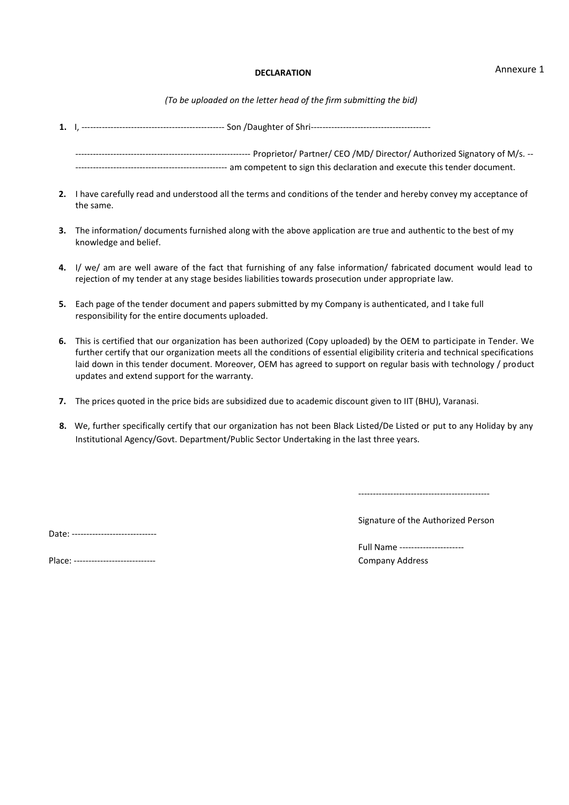#### **DECLARATION**

*(To be uploaded on the letter head of the firm submitting the bid)*

- **1.** I, ------------------------------------------------- Son /Daughter of Shri----------------------------------------- ------------------------------------------------------------ Proprietor/ Partner/ CEO /MD/ Director/ Authorized Signatory of M/s. -- ---------------------------------------------------- am competent to sign this declaration and execute this tender document.
- **2.** I have carefully read and understood all the terms and conditions of the tender and hereby convey my acceptance of the same.
- **3.** The information/ documents furnished along with the above application are true and authentic to the best of my knowledge and belief.
- **4.** I/ we/ am are well aware of the fact that furnishing of any false information/ fabricated document would lead to rejection of my tender at any stage besides liabilities towards prosecution under appropriate law.
- **5.** Each page of the tender document and papers submitted by my Company is authenticated, and I take full responsibility for the entire documents uploaded.
- **6.** This is certified that our organization has been authorized (Copy uploaded) by the OEM to participate in Tender. We further certify that our organization meets all the conditions of essential eligibility criteria and technical specifications laid down in this tender document. Moreover, OEM has agreed to support on regular basis with technology / product updates and extend support for the warranty.
- **7.** The prices quoted in the price bids are subsidized due to academic discount given to IIT (BHU), Varanasi.
- **8.** We, further specifically certify that our organization has not been Black Listed/De Listed or put to any Holiday by any Institutional Agency/Govt. Department/Public Sector Undertaking in the last three years.

---------------------------------------------

Date: -------------------------------

Signature of the Authorized Person

| Place: ----------------<br>--- |
|--------------------------------|
|                                |

Full Name ---------------------- Company Address